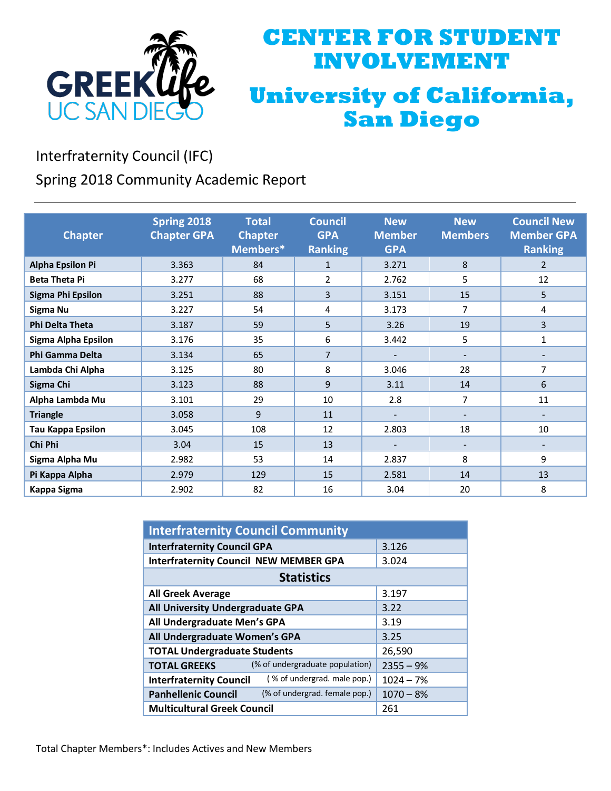

## **CENTER FOR STUDENT INVOLVEMENT University of California, San Diego**

Interfraternity Council (IFC)

Spring 2018 Community Academic Report

| <b>Chapter</b>           | Spring 2018<br><b>Chapter GPA</b> | <b>Total</b><br><b>Chapter</b><br>Members* | <b>Council</b><br><b>GPA</b><br><b>Ranking</b> | <b>New</b><br><b>Member</b><br><b>GPA</b> | <b>New</b><br><b>Members</b> | <b>Council New</b><br><b>Member GPA</b><br><b>Ranking</b> |
|--------------------------|-----------------------------------|--------------------------------------------|------------------------------------------------|-------------------------------------------|------------------------------|-----------------------------------------------------------|
| <b>Alpha Epsilon Pi</b>  | 3.363                             | 84                                         | $\mathbf{1}$                                   | 3.271                                     | 8                            | $\overline{2}$                                            |
| <b>Beta Theta Pi</b>     | 3.277                             | 68                                         | 2                                              | 2.762                                     | 5                            | 12                                                        |
| <b>Sigma Phi Epsilon</b> | 3.251                             | 88                                         | 3                                              | 3.151                                     | 15                           | 5                                                         |
| Sigma Nu                 | 3.227                             | 54                                         | 4                                              | 3.173                                     | 7                            | 4                                                         |
| <b>Phi Delta Theta</b>   | 3.187                             | 59                                         | 5                                              | 3.26                                      | 19                           | 3                                                         |
| Sigma Alpha Epsilon      | 3.176                             | 35                                         | 6                                              | 3.442                                     | 5                            | $\mathbf{1}$                                              |
| <b>Phi Gamma Delta</b>   | 3.134                             | 65                                         | $\overline{7}$                                 |                                           |                              |                                                           |
| Lambda Chi Alpha         | 3.125                             | 80                                         | 8                                              | 3.046                                     | 28                           | 7                                                         |
| Sigma Chi                | 3.123                             | 88                                         | 9                                              | 3.11                                      | 14                           | 6                                                         |
| Alpha Lambda Mu          | 3.101                             | 29                                         | 10                                             | 2.8                                       | 7                            | 11                                                        |
| <b>Triangle</b>          | 3.058                             | 9                                          | 11                                             | $\overline{\phantom{a}}$                  |                              |                                                           |
| <b>Tau Kappa Epsilon</b> | 3.045                             | 108                                        | 12                                             | 2.803                                     | 18                           | 10                                                        |
| Chi Phi                  | 3.04                              | 15                                         | 13                                             | $\overline{\phantom{a}}$                  | $\overline{\phantom{a}}$     | $\overline{\phantom{a}}$                                  |
| Sigma Alpha Mu           | 2.982                             | 53                                         | 14                                             | 2.837                                     | 8                            | 9                                                         |
| Pi Kappa Alpha           | 2.979                             | 129                                        | 15                                             | 2.581                                     | 14                           | 13                                                        |
| Kappa Sigma              | 2.902                             | 82                                         | 16                                             | 3.04                                      | 20                           | 8                                                         |

| <b>Interfraternity Council Community</b>                      |             |  |  |  |
|---------------------------------------------------------------|-------------|--|--|--|
| <b>Interfraternity Council GPA</b>                            | 3.126       |  |  |  |
| <b>Interfraternity Council NEW MEMBER GPA</b>                 | 3.024       |  |  |  |
| <b>Statistics</b>                                             |             |  |  |  |
| <b>All Greek Average</b>                                      | 3.197       |  |  |  |
| All University Undergraduate GPA                              | 3.22        |  |  |  |
| All Undergraduate Men's GPA                                   | 3.19        |  |  |  |
| All Undergraduate Women's GPA                                 | 3.25        |  |  |  |
| <b>TOTAL Undergraduate Students</b>                           | 26,590      |  |  |  |
| (% of undergraduate population)<br><b>TOTAL GREEKS</b>        | $2355 - 9%$ |  |  |  |
| (% of undergrad. male pop.)<br><b>Interfraternity Council</b> | $1024 - 7%$ |  |  |  |
| (% of undergrad. female pop.)<br><b>Panhellenic Council</b>   | $1070 - 8%$ |  |  |  |
| <b>Multicultural Greek Council</b>                            | 261         |  |  |  |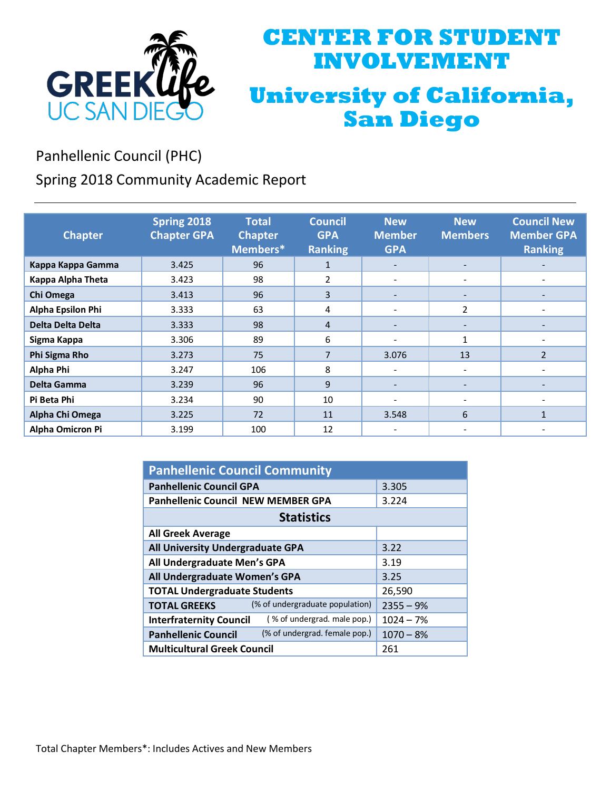

## **CENTER FOR STUDENT INVOLVEMENT University of California, San Diego**

Panhellenic Council (PHC)

Spring 2018 Community Academic Report

| <b>Chapter</b>          | Spring 2018<br><b>Chapter GPA</b> | <b>Total</b><br><b>Chapter</b><br>Members* | <b>Council</b><br><b>GPA</b><br><b>Ranking</b> | <b>New</b><br><b>Member</b><br><b>GPA</b> | <b>New</b><br><b>Members</b> | <b>Council New</b><br><b>Member GPA</b><br><b>Ranking</b> |
|-------------------------|-----------------------------------|--------------------------------------------|------------------------------------------------|-------------------------------------------|------------------------------|-----------------------------------------------------------|
| Kappa Kappa Gamma       | 3.425                             | 96                                         | $\mathbf{1}$                                   | $\overline{\phantom{a}}$                  | $\overline{\phantom{a}}$     | $\overline{\phantom{0}}$                                  |
| Kappa Alpha Theta       | 3.423                             | 98                                         | 2                                              | $\overline{\phantom{a}}$                  |                              | $\overline{\phantom{a}}$                                  |
| Chi Omega               | 3.413                             | 96                                         | 3                                              | $\overline{\phantom{a}}$                  |                              |                                                           |
| Alpha Epsilon Phi       | 3.333                             | 63                                         | 4                                              | $\overline{\phantom{a}}$                  | $\overline{2}$               |                                                           |
| Delta Delta Delta       | 3.333                             | 98                                         | $\overline{4}$                                 | $\overline{\phantom{a}}$                  |                              |                                                           |
| Sigma Kappa             | 3.306                             | 89                                         | 6                                              | $\overline{\phantom{a}}$                  | 1                            |                                                           |
| Phi Sigma Rho           | 3.273                             | 75                                         | 7                                              | 3.076                                     | 13                           | $\overline{2}$                                            |
| Alpha Phi               | 3.247                             | 106                                        | 8                                              |                                           |                              |                                                           |
| Delta Gamma             | 3.239                             | 96                                         | 9                                              | $\overline{\phantom{a}}$                  | $\overline{\phantom{a}}$     | $\overline{\phantom{a}}$                                  |
| Pi Beta Phi             | 3.234                             | 90                                         | 10                                             | $\overline{\phantom{a}}$                  | $\overline{\phantom{a}}$     |                                                           |
| Alpha Chi Omega         | 3.225                             | 72                                         | 11                                             | 3.548                                     | 6                            | $\mathbf{1}$                                              |
| <b>Alpha Omicron Pi</b> | 3.199                             | 100                                        | 12                                             |                                           |                              |                                                           |

| <b>Panhellenic Council Community</b>                          |             |  |  |  |
|---------------------------------------------------------------|-------------|--|--|--|
| <b>Panhellenic Council GPA</b>                                | 3.305       |  |  |  |
| <b>Panhellenic Council NEW MEMBER GPA</b>                     | 3.224       |  |  |  |
| <b>Statistics</b>                                             |             |  |  |  |
| <b>All Greek Average</b>                                      |             |  |  |  |
| All University Undergraduate GPA                              | 3.22        |  |  |  |
| All Undergraduate Men's GPA                                   | 3.19        |  |  |  |
| All Undergraduate Women's GPA                                 | 3.25        |  |  |  |
| <b>TOTAL Undergraduate Students</b>                           | 26,590      |  |  |  |
| (% of undergraduate population)<br><b>TOTAL GREEKS</b>        | $2355 - 9%$ |  |  |  |
| (% of undergrad. male pop.)<br><b>Interfraternity Council</b> | $1024 - 7%$ |  |  |  |
| (% of undergrad. female pop.)<br><b>Panhellenic Council</b>   | $1070 - 8%$ |  |  |  |
| <b>Multicultural Greek Council</b>                            | 261         |  |  |  |